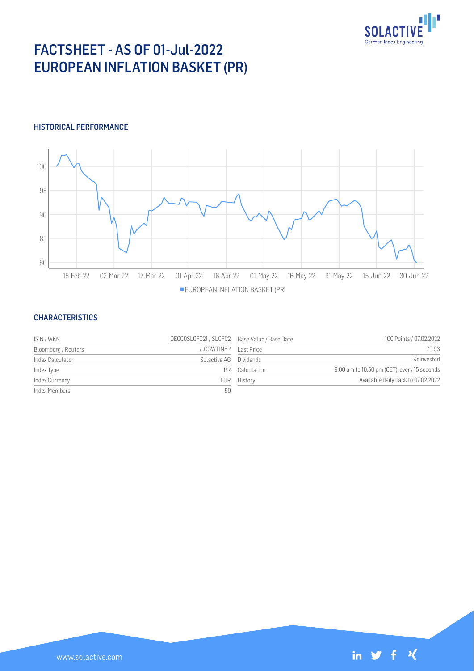

# FACTSHEET - AS OF 01-Jul-2022 EUROPEAN INFLATION BASKET (PR)

### HISTORICAL PERFORMANCE



#### **CHARACTERISTICS**

| ISIN / WKN          | DE000SL0FC21 / SL0FC2 Base Value / Base Date |                | 100 Points / 07.02.2022                     |
|---------------------|----------------------------------------------|----------------|---------------------------------------------|
| Bloomberg / Reuters | CGWTINFP Last Price                          |                | 79.93                                       |
| Index Calculator    | Solactive AG Dividends                       |                | Reinvested                                  |
| Index Type          |                                              | PR Calculation | 9:00 am to 10:50 pm (CET), every 15 seconds |
| Index Currency      |                                              | EUR History    | Available daily back to 07.02.2022          |
| Index Members       | 59                                           |                |                                             |

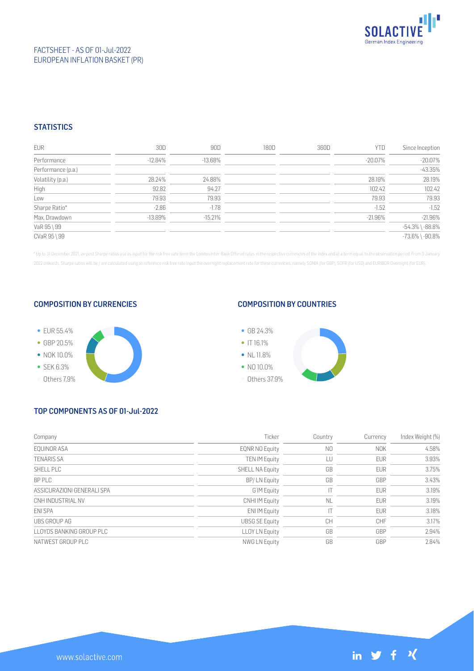

## FACTSHEET - AS OF 01-Jul-2022 EUROPEAN INFLATION BASKET (PR)

## **STATISTICS**

| <b>EUR</b>         | 30D       | 90D        | 180D | 360D | <b>YTD</b> | Since Inception       |
|--------------------|-----------|------------|------|------|------------|-----------------------|
| Performance        | $-12.84%$ | $-13.68\%$ |      |      | -20.07%    | $-20.07%$             |
| Performance (p.a.) |           |            |      |      |            | $-43.35%$             |
| Volatility (p.a.)  | 28.24%    | 24.88%     |      |      | 28.19%     | 28.19%                |
| High               | 92.82     | 94.27      |      |      | 102.42     | 102.42                |
| Low                | 79.93     | 79.93      |      |      | 79.93      | 79.93                 |
| Sharpe Ratio*      | $-2.86$   | $-1.78$    |      |      | $-1.52$    | $-1.52$               |
| Max. Drawdown      | $-13.89%$ | $-15.21%$  |      |      | $-21.96\%$ | $-21.96%$             |
| VaR 95 \ 99        |           |            |      |      |            | $-54.3\%$ \ $-88.8\%$ |
| CVaR 95 \ 99       |           |            |      |      |            | $-73.6\%$ \ $-90.8\%$ |

\* Up to 31 December 2021, ex-post Sharpe ratios use as input for the risk free rate term the London Inter-Bank Offered rates in the respective currencies of the index and at a term equal to the observation period. From 3 J 2022 onwards, Sharpe ratios will be / are calculated using as reference risk free rate input the overnight replacement rate for these currencies, namely SONIA (for GBP), SOFR (for USD) and EURIBOR Overnight (for EUR).

#### COMPOSITION BY CURRENCIES



### COMPOSITION BY COUNTRIES



## TOP COMPONENTS AS OF 01-Jul-2022

| Company                    | Ticker                 | Country        | Currency   | Index Weight (%) |
|----------------------------|------------------------|----------------|------------|------------------|
| EOUINOR ASA                | <b>EQNR NO Equity</b>  | N <sub>0</sub> | <b>NOK</b> | 4.58%            |
| <b>TENARIS SA</b>          | <b>TEN IM Equity</b>   | LU             | <b>EUR</b> | 3.93%            |
| SHELL PLC                  | <b>SHELL NA Equity</b> | GB             | <b>EUR</b> | 3.75%            |
| BP PLC                     | BP/LN Equity           | GB             | GBP        | 3.43%            |
| ASSICURAZIONI GENERALI SPA | G IM Equity            |                | <b>EUR</b> | 3.19%            |
| CNH INDUSTRIAL NV          | <b>CNHI IM Equity</b>  | <b>NL</b>      | <b>EUR</b> | 3.19%            |
| <b>FNI SPA</b>             | <b>ENI IM Equity</b>   |                | <b>EUR</b> | 3.18%            |
| UBS GROUP AG               | <b>UBSG SE Equity</b>  | <b>CH</b>      | <b>CHF</b> | 3.17%            |
| LLOYDS BANKING GROUP PLC   | <b>LLOY LN Equity</b>  | GB             | GBP        | 2.94%            |
| NATWEST GROUP PLC          | <b>NWG LN Equity</b>   | GB             | GBP        | 2.84%            |